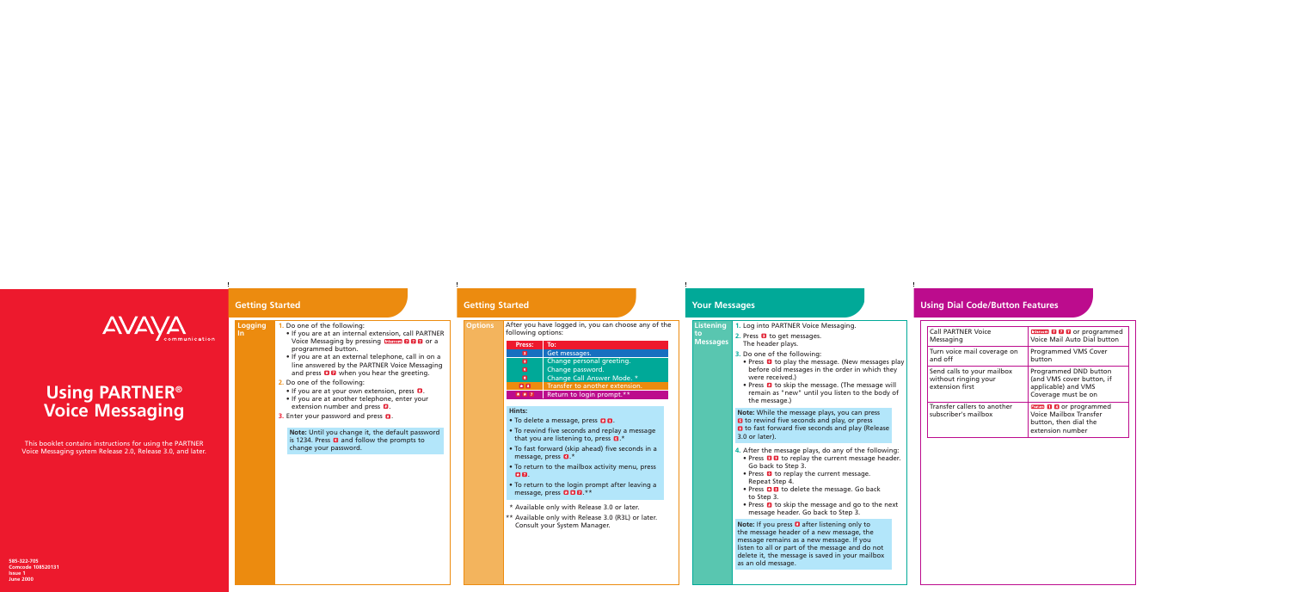| Listening 1. Log into PARTI |  |  |  |
|-----------------------------|--|--|--|
|-----------------------------|--|--|--|

#### **to Messages**

**NER Voice Messaging.** 

- **2.** Press **2** to get messages. The header plays.
- **3.** Do one of the following:
- Press  $\bullet$  to play the message. (New messages play before old messages in the order in which they were received.)
- Press  $\blacksquare$  to skip the message. (The message will remain as "new" until you listen to the body of the message.)

- **4.** After the message plays, do any of the following:
- Press **2 3** to replay the current message header. Go back to Step 3.
- Press  $\bullet$  to replay the current message. Repeat Step 4.
- Press **DB** to delete the message. Go back to Step 3.
- Press  $\blacksquare$  to skip the message and go to the next message header. Go back to Step 3.

**Note:** If you press **a** after listening only to the message header of a new message, the message remains as a new message. If you listen to all or part of the message and do not delete it, the message is saved in your mailbox as an old message.

## **Your Messages**

**Note:** While the message plays, you can press **E** to rewind five seconds and play, or press **6** to fast forward five seconds and play (Release 3.0 or later).



# **Using PARTNER<sup>®</sup> Voice Messaging**

### **Options** After you have logged in, you can choose any of the following options:

- To delete a message, press **D D**.
- To rewind five seconds and replay a message that you are listening to, press  $\mathbf{5}$ .\*
- To fast forward (skip ahead) five seconds in a message, press  $\mathbf{G}$ .\*
- To return to the mailbox activity menu, press **. 82.**
- To return to the login prompt after leaving a message, press  $\blacksquare$   $\blacksquare$  \*\*
- \*\* Available only with Release 3.0 or later.
- \*\* Available only with Release 3.0 (R3L) or later. Consult your System Manager.
- If you are at an internal extension, call PARTNER Voice Messaging by pressing  $\frac{f_{\text{intercom}}}{f_{\text{intercom}}}$  a programmed button.
- If you are at an external telephone, call in on a line answered by the PARTNER Voice Messaging and press  $\blacksquare$  when you hear the greeting.
- **2.** Do one of the following:
- If you are at your own extension, press  $\blacksquare$ .
- If you are at another telephone, enter your extension number and press  $\blacksquare$ .
- **Enter your password and press <b>D**.

# **Using Dial Code/Button Features**

| <b>Call PARTNER Voice</b>                                             | Intercom <b>7 7 7</b> or programmed                                                                     |
|-----------------------------------------------------------------------|---------------------------------------------------------------------------------------------------------|
| Messaging                                                             | Voice Mail Auto Dial button                                                                             |
| Turn voice mail coverage on                                           | Programmed VMS Cover                                                                                    |
| and off                                                               | button                                                                                                  |
| Send calls to your mailbox<br>without ringing your<br>extension first | Programmed DND button<br>(and VMS cover button, if<br>applicable) and VMS<br>Coverage must be on        |
| Transfer callers to another<br>subscriber's mailbox                   | <b>Feature 1 4 or programmed</b><br>Voice Mailbox Transfer<br>button, then dial the<br>extension number |

**585-322-705 Comcode 108520131 Issue 1 June 2000**

This booklet contains instructions for using the PARTNER Voice Messaging system Release 2.0, Release 3.0, and later.

## **Getting Started**

**In**

**Logging 1.** Do one of the following:

**Getting Started**

| Press:      | To:                            |
|-------------|--------------------------------|
| $\boxed{2}$ | Get messages.                  |
| 3           | Change personal greeting.      |
| 5           | Change password.               |
| 8           | Change Call Answer Mode. *     |
| $\star$ 8   | Transfer to another extension. |
| * * 7       | Return to login prompt.**      |

## **Hints:**

**Note:** Until you change it, the default password is 1234. Press  $\blacksquare$  and follow the prompts to change your password.